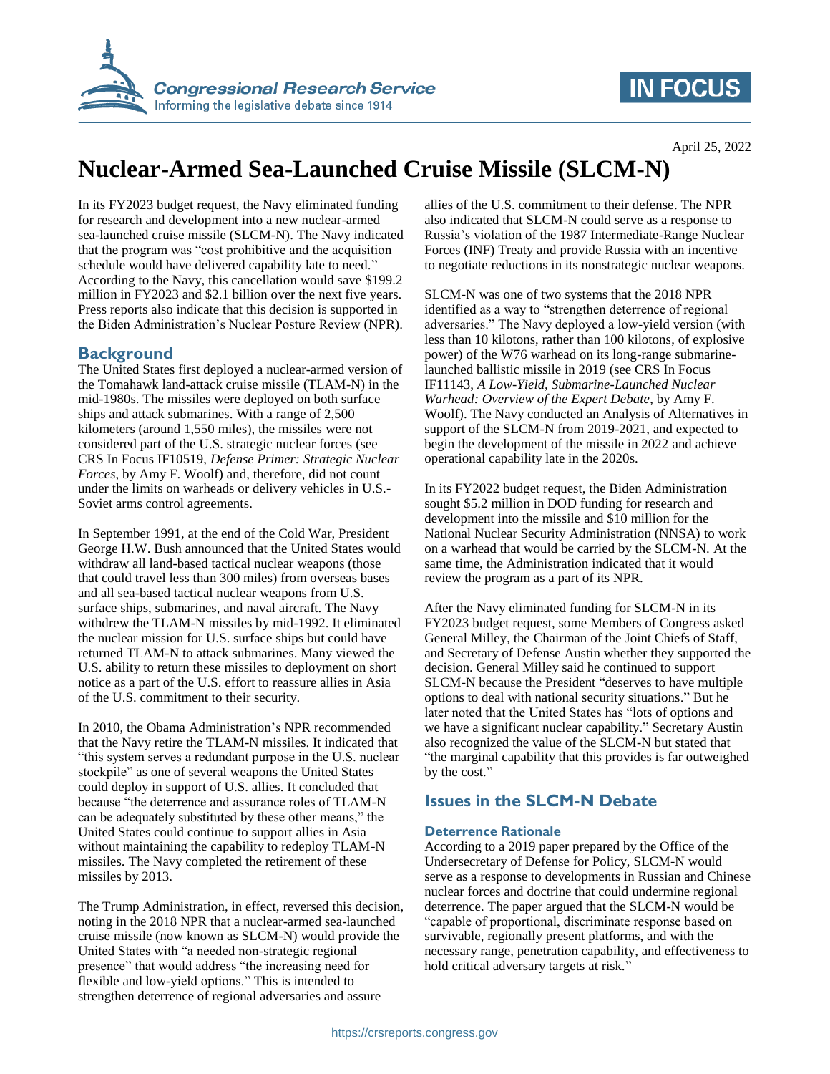

## **IN FOCUS**

# **Nuclear-Armed Sea-Launched Cruise Missile (SLCM-N)**

In its FY2023 budget request, the Navy eliminated funding for research and development into a new nuclear-armed sea-launched cruise missile (SLCM-N). The Navy indicated that the program was "cost prohibitive and the acquisition schedule would have delivered capability late to need." According to the Navy, this cancellation would save \$199.2 million in FY2023 and \$2.1 billion over the next five years. Press reports also indicate that this decision is supported in the Biden Administration's Nuclear Posture Review (NPR).

#### **Background**

The United States first deployed a nuclear-armed version of the Tomahawk land-attack cruise missile (TLAM-N) in the mid-1980s. The missiles were deployed on both surface ships and attack submarines. With a range of 2,500 kilometers (around 1,550 miles), the missiles were not considered part of the U.S. strategic nuclear forces (see CRS In Focus IF10519, *Defense Primer: Strategic Nuclear Forces*, by Amy F. Woolf) and, therefore, did not count under the limits on warheads or delivery vehicles in U.S.- Soviet arms control agreements.

In September 1991, at the end of the Cold War, President George H.W. Bush announced that the United States would withdraw all land-based tactical nuclear weapons (those that could travel less than 300 miles) from overseas bases and all sea-based tactical nuclear weapons from U.S. surface ships, submarines, and naval aircraft. The Navy withdrew the TLAM-N missiles by mid-1992. It eliminated the nuclear mission for U.S. surface ships but could have returned TLAM-N to attack submarines. Many viewed the U.S. ability to return these missiles to deployment on short notice as a part of the U.S. effort to reassure allies in Asia of the U.S. commitment to their security.

In 2010, the Obama Administration's NPR recommended that the Navy retire the TLAM-N missiles. It indicated that "this system serves a redundant purpose in the U.S. nuclear stockpile" as one of several weapons the United States could deploy in support of U.S. allies. It concluded that because "the deterrence and assurance roles of TLAM-N can be adequately substituted by these other means," the United States could continue to support allies in Asia without maintaining the capability to redeploy TLAM-N missiles. The Navy completed the retirement of these missiles by 2013.

The Trump Administration, in effect, reversed this decision, noting in the 2018 NPR that a nuclear-armed sea-launched cruise missile (now known as SLCM-N) would provide the United States with "a needed non-strategic regional presence" that would address "the increasing need for flexible and low-yield options." This is intended to strengthen deterrence of regional adversaries and assure

allies of the U.S. commitment to their defense. The NPR also indicated that SLCM-N could serve as a response to Russia's violation of the 1987 Intermediate-Range Nuclear Forces (INF) Treaty and provide Russia with an incentive to negotiate reductions in its nonstrategic nuclear weapons.

SLCM-N was one of two systems that the 2018 NPR identified as a way to "strengthen deterrence of regional adversaries." The Navy deployed a low-yield version (with less than 10 kilotons, rather than 100 kilotons, of explosive power) of the W76 warhead on its long-range submarinelaunched ballistic missile in 2019 (see CRS In Focus IF11143, *A Low-Yield, Submarine-Launched Nuclear Warhead: Overview of the Expert Debate*, by Amy F. Woolf). The Navy conducted an Analysis of Alternatives in support of the SLCM-N from 2019-2021, and expected to begin the development of the missile in 2022 and achieve operational capability late in the 2020s.

In its FY2022 budget request, the Biden Administration sought \$5.2 million in DOD funding for research and development into the missile and \$10 million for the National Nuclear Security Administration (NNSA) to work on a warhead that would be carried by the SLCM-N. At the same time, the Administration indicated that it would review the program as a part of its NPR.

After the Navy eliminated funding for SLCM-N in its FY2023 budget request, some Members of Congress asked General Milley, the Chairman of the Joint Chiefs of Staff, and Secretary of Defense Austin whether they supported the decision. General Milley said he continued to support SLCM-N because the President "deserves to have multiple options to deal with national security situations." But he later noted that the United States has "lots of options and we have a significant nuclear capability." Secretary Austin also recognized the value of the SLCM-N but stated that "the marginal capability that this provides is far outweighed by the cost."

### **Issues in the SLCM-N Debate**

#### **Deterrence Rationale**

According to a 2019 paper prepared by the Office of the Undersecretary of Defense for Policy, SLCM-N would serve as a response to developments in Russian and Chinese nuclear forces and doctrine that could undermine regional deterrence. The paper argued that the SLCM-N would be "capable of proportional, discriminate response based on survivable, regionally present platforms, and with the necessary range, penetration capability, and effectiveness to hold critical adversary targets at risk."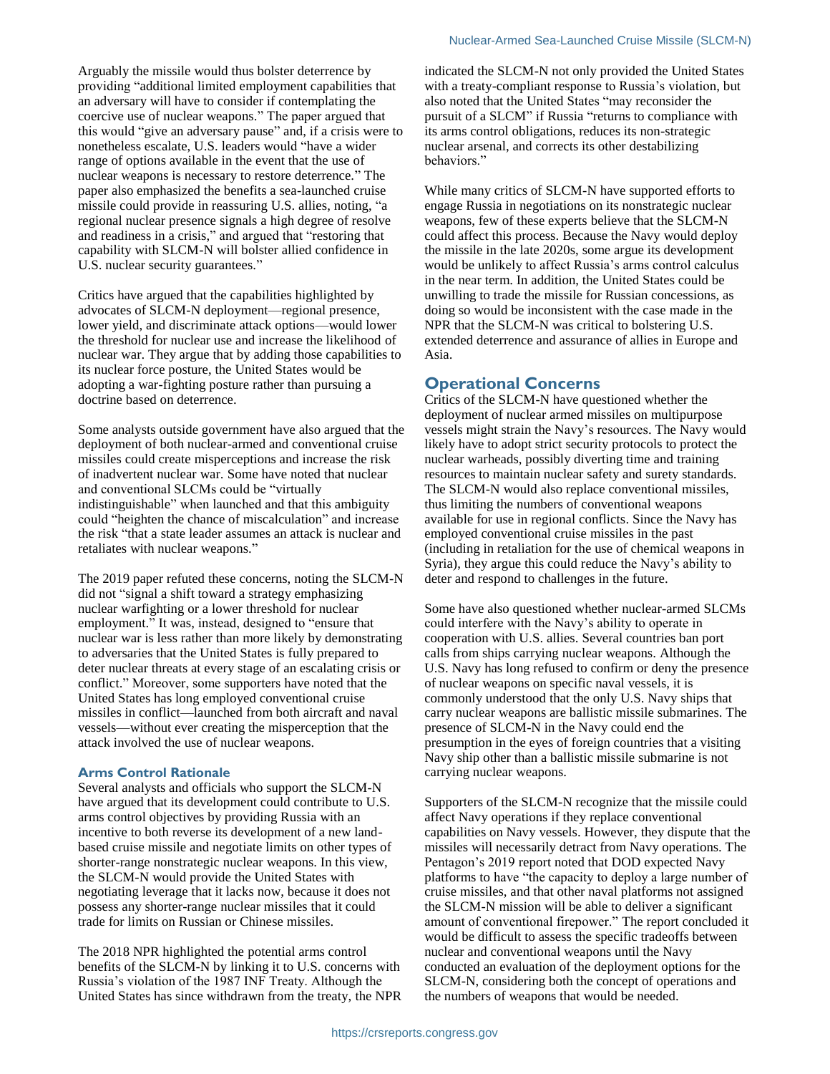Arguably the missile would thus bolster deterrence by providing "additional limited employment capabilities that an adversary will have to consider if contemplating the coercive use of nuclear weapons." The paper argued that this would "give an adversary pause" and, if a crisis were to nonetheless escalate, U.S. leaders would "have a wider range of options available in the event that the use of nuclear weapons is necessary to restore deterrence." The paper also emphasized the benefits a sea-launched cruise missile could provide in reassuring U.S. allies, noting, "a regional nuclear presence signals a high degree of resolve and readiness in a crisis," and argued that "restoring that capability with SLCM-N will bolster allied confidence in U.S. nuclear security guarantees."

Critics have argued that the capabilities highlighted by advocates of SLCM-N deployment—regional presence, lower yield, and discriminate attack options—would lower the threshold for nuclear use and increase the likelihood of nuclear war. They argue that by adding those capabilities to its nuclear force posture, the United States would be adopting a war-fighting posture rather than pursuing a doctrine based on deterrence.

Some analysts outside government have also argued that the deployment of both nuclear-armed and conventional cruise missiles could create misperceptions and increase the risk of inadvertent nuclear war. Some have noted that nuclear and conventional SLCMs could be "virtually indistinguishable" when launched and that this ambiguity could "heighten the chance of miscalculation" and increase the risk "that a state leader assumes an attack is nuclear and retaliates with nuclear weapons."

The 2019 paper refuted these concerns, noting the SLCM-N did not "signal a shift toward a strategy emphasizing nuclear warfighting or a lower threshold for nuclear employment." It was, instead, designed to "ensure that nuclear war is less rather than more likely by demonstrating to adversaries that the United States is fully prepared to deter nuclear threats at every stage of an escalating crisis or conflict." Moreover, some supporters have noted that the United States has long employed conventional cruise missiles in conflict—launched from both aircraft and naval vessels—without ever creating the misperception that the attack involved the use of nuclear weapons.

#### **Arms Control Rationale**

Several analysts and officials who support the SLCM-N have argued that its development could contribute to U.S. arms control objectives by providing Russia with an incentive to both reverse its development of a new landbased cruise missile and negotiate limits on other types of shorter-range nonstrategic nuclear weapons. In this view, the SLCM-N would provide the United States with negotiating leverage that it lacks now, because it does not possess any shorter-range nuclear missiles that it could trade for limits on Russian or Chinese missiles.

The 2018 NPR highlighted the potential arms control benefits of the SLCM-N by linking it to U.S. concerns with Russia's violation of the 1987 INF Treaty. Although the United States has since withdrawn from the treaty, the NPR indicated the SLCM-N not only provided the United States with a treaty-compliant response to Russia's violation, but also noted that the United States "may reconsider the pursuit of a SLCM" if Russia "returns to compliance with its arms control obligations, reduces its non-strategic nuclear arsenal, and corrects its other destabilizing behaviors."

While many critics of SLCM-N have supported efforts to engage Russia in negotiations on its nonstrategic nuclear weapons, few of these experts believe that the SLCM-N could affect this process. Because the Navy would deploy the missile in the late 2020s, some argue its development would be unlikely to affect Russia's arms control calculus in the near term. In addition, the United States could be unwilling to trade the missile for Russian concessions, as doing so would be inconsistent with the case made in the NPR that the SLCM-N was critical to bolstering U.S. extended deterrence and assurance of allies in Europe and Asia.

#### **Operational Concerns**

Critics of the SLCM-N have questioned whether the deployment of nuclear armed missiles on multipurpose vessels might strain the Navy's resources. The Navy would likely have to adopt strict security protocols to protect the nuclear warheads, possibly diverting time and training resources to maintain nuclear safety and surety standards. The SLCM-N would also replace conventional missiles, thus limiting the numbers of conventional weapons available for use in regional conflicts. Since the Navy has employed conventional cruise missiles in the past (including in retaliation for the use of chemical weapons in Syria), they argue this could reduce the Navy's ability to deter and respond to challenges in the future.

Some have also questioned whether nuclear-armed SLCMs could interfere with the Navy's ability to operate in cooperation with U.S. allies. Several countries ban port calls from ships carrying nuclear weapons. Although the U.S. Navy has long refused to confirm or deny the presence of nuclear weapons on specific naval vessels, it is commonly understood that the only U.S. Navy ships that carry nuclear weapons are ballistic missile submarines. The presence of SLCM-N in the Navy could end the presumption in the eyes of foreign countries that a visiting Navy ship other than a ballistic missile submarine is not carrying nuclear weapons.

Supporters of the SLCM-N recognize that the missile could affect Navy operations if they replace conventional capabilities on Navy vessels. However, they dispute that the missiles will necessarily detract from Navy operations. The Pentagon's 2019 report noted that DOD expected Navy platforms to have "the capacity to deploy a large number of cruise missiles, and that other naval platforms not assigned the SLCM-N mission will be able to deliver a significant amount of conventional firepower." The report concluded it would be difficult to assess the specific tradeoffs between nuclear and conventional weapons until the Navy conducted an evaluation of the deployment options for the SLCM-N, considering both the concept of operations and the numbers of weapons that would be needed.